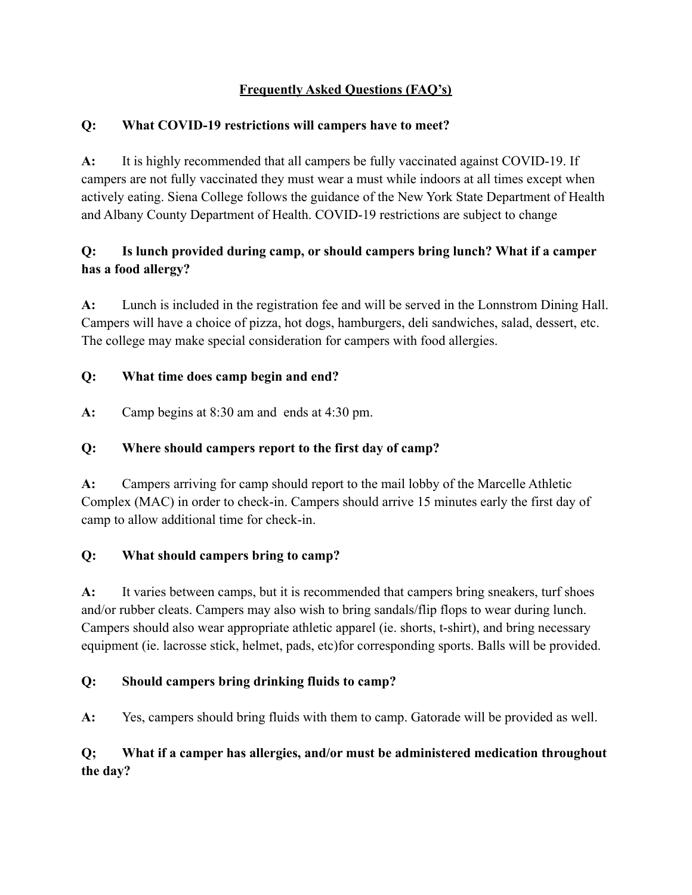## **Frequently Asked Questions (FAQ's)**

#### **Q: What COVID-19 restrictions will campers have to meet?**

**A:** It is highly recommended that all campers be fully vaccinated against COVID-19. If campers are not fully vaccinated they must wear a must while indoors at all times except when actively eating. Siena College follows the guidance of the New York State Department of Health and Albany County Department of Health. COVID-19 restrictions are subject to change

# **Q: Is lunch provided during camp, or should campers bring lunch? What if a camper has a food allergy?**

**A:** Lunch is included in the registration fee and will be served in the Lonnstrom Dining Hall. Campers will have a choice of pizza, hot dogs, hamburgers, deli sandwiches, salad, dessert, etc. The college may make special consideration for campers with food allergies.

#### **Q: What time does camp begin and end?**

**A:** Camp begins at 8:30 am and ends at 4:30 pm.

## **Q: Where should campers report to the first day of camp?**

**A:** Campers arriving for camp should report to the mail lobby of the Marcelle Athletic Complex (MAC) in order to check-in. Campers should arrive 15 minutes early the first day of camp to allow additional time for check-in.

## **Q: What should campers bring to camp?**

**A:** It varies between camps, but it is recommended that campers bring sneakers, turf shoes and/or rubber cleats. Campers may also wish to bring sandals/flip flops to wear during lunch. Campers should also wear appropriate athletic apparel (ie. shorts, t-shirt), and bring necessary equipment (ie. lacrosse stick, helmet, pads, etc)for corresponding sports. Balls will be provided.

## **Q: Should campers bring drinking fluids to camp?**

**A:** Yes, campers should bring fluids with them to camp. Gatorade will be provided as well.

## **Q; What if a camper has allergies, and/or must be administered medication throughout the day?**